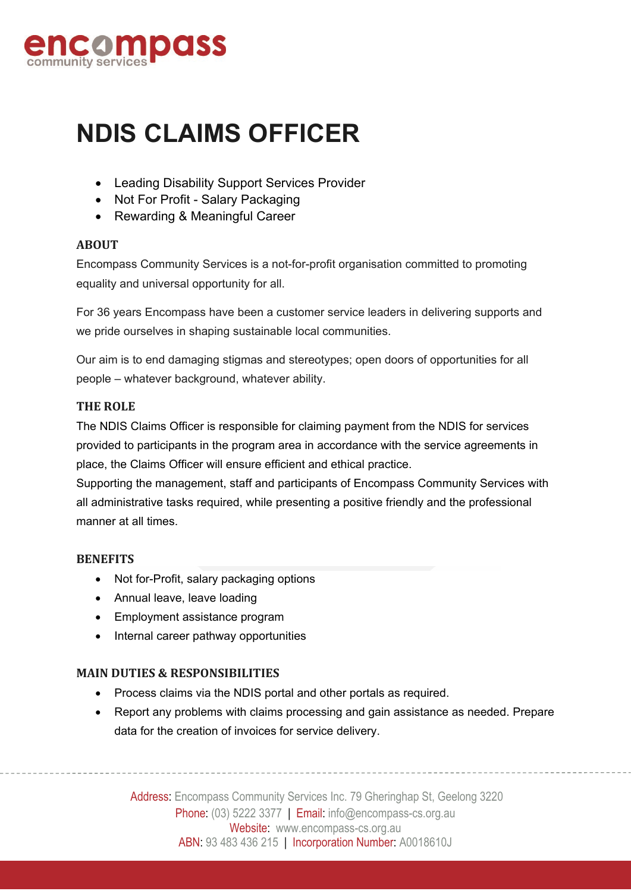

# **NDIS CLAIMS OFFICER**

- Leading Disability Support Services Provider
- Not For Profit Salary Packaging
- Rewarding & Meaningful Career

#### **ABOUT**

Encompass Community Services is a not-for-profit organisation committed to promoting equality and universal opportunity for all.

For 36 years Encompass have been a customer service leaders in delivering supports and we pride ourselves in shaping sustainable local communities.

Our aim is to end damaging stigmas and stereotypes; open doors of opportunities for all people – whatever background, whatever ability.

#### **THE ROLE**

The NDIS Claims Officer is responsible for claiming payment from the NDIS for services provided to participants in the program area in accordance with the service agreements in place, the Claims Officer will ensure efficient and ethical practice.

Supporting the management, staff and participants of Encompass Community Services with all administrative tasks required, while presenting a positive friendly and the professional manner at all times.

### **BENEFITS**

- Not for-Profit, salary packaging options
- Annual leave, leave loading
- Employment assistance program
- Internal career pathway opportunities

### **MAIN DUTIES & RESPONSIBILITIES**

- Process claims via the NDIS portal and other portals as required.
- Report any problems with claims processing and gain assistance as needed. Prepare data for the creation of invoices for service delivery.

Address: Encompass Community Services Inc. 79 Gheringhap St, Geelong 3220 Phone: (03) 5222 3377 | Email: info@encompass-cs.org.au Website: www.encompass-cs.org.au ABN: 93 483 436 215 | Incorporation Number: A0018610J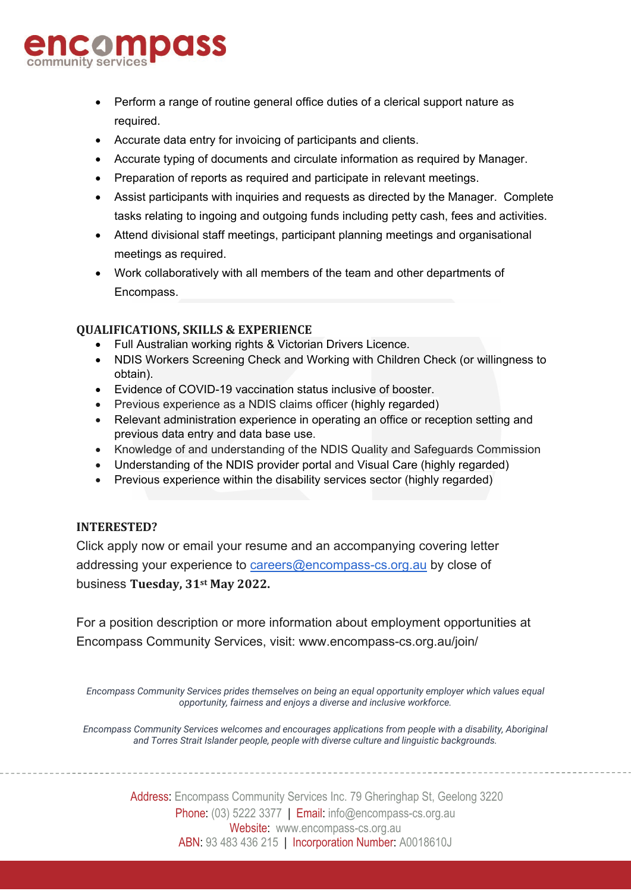# compass

- Perform a range of routine general office duties of a clerical support nature as required.
- Accurate data entry for invoicing of participants and clients.
- Accurate typing of documents and circulate information as required by Manager.
- Preparation of reports as required and participate in relevant meetings.
- Assist participants with inquiries and requests as directed by the Manager. Complete tasks relating to ingoing and outgoing funds including petty cash, fees and activities.
- Attend divisional staff meetings, participant planning meetings and organisational meetings as required.
- Work collaboratively with all members of the team and other departments of Encompass.

## **QUALIFICATIONS, SKILLS & EXPERIENCE**

- Full Australian working rights & Victorian Drivers Licence.
- NDIS Workers Screening Check and Working with Children Check (or willingness to obtain).
- Evidence of COVID-19 vaccination status inclusive of booster.
- Previous experience as a NDIS claims officer (highly regarded)
- Relevant administration experience in operating an office or reception setting and previous data entry and data base use.
- Knowledge of and understanding of the NDIS Quality and Safeguards Commission
- Understanding of the NDIS provider portal and Visual Care (highly regarded)
- Previous experience within the disability services sector (highly regarded)

### **INTERESTED?**

Click apply now or email your resume and an accompanying covering letter addressing your experience to [careers@encompass-cs.org.au](mailto:careers@encompass-cs.org.au) by close of business **Tuesday, 31st May 2022.**

For a position description or more information about employment opportunities at Encompass Community Services, visit: www.encompass-cs.org.au/join/

*Encompass Community Services prides themselves on being an equal opportunity employer which values equal opportunity, fairness and enjoys a diverse and inclusive workforce.*

*Encompass Community Services welcomes and encourages applications from people with a disability, Aboriginal and Torres Strait Islander people, people with diverse culture and linguistic backgrounds.*

> Address: Encompass Community Services Inc. 79 Gheringhap St, Geelong 3220 Phone: (03) 5222 3377 | Email: info@encompass-cs.org.au Website: www.encompass-cs.org.au ABN: 93 483 436 215 | Incorporation Number: A0018610J